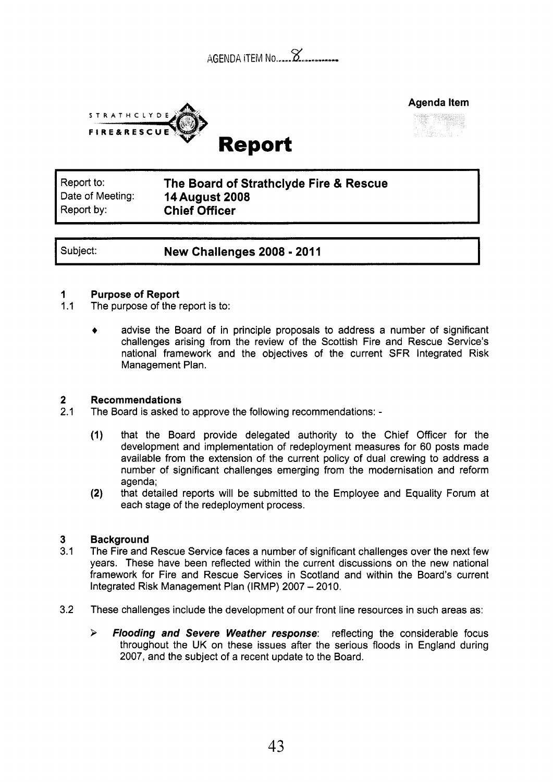|  | $\sim$<br>AGENDA ITEM No 2 |
|--|----------------------------|
|  |                            |





Report to: Report by: **Chief Officer** 

Date of Meeting: **14August 2008 The Board of Strathclyde Fire** & **Rescue** 

Subject: **New Challenges 2008 - 2011** 

### **1 Purpose of Report**

- $1.1$ The purpose of the report is to:
	- advise the Board of in principle proposals to address a number of significant challenges arising from the review of the Scottish Fire and Rescue Service's national framework and the objectives of the current SFR Integrated Risk Management Plan.

### **2 Recommendations**

- 2.1 The Board is asked to approve the following recommendations: -
	- **(1)** that the Board provide delegated authority to the Chief Officer for the development and implementation of redeployment measures for 60 posts made available from the extension of the current policy of dual crewing to address a number of significant challenges emerging from the modernisation and reform agenda;
	- that detailed reports will be submitted to the Employee and Equality Forum at (2) that detailed reports will be submitted to each stage of the redeployment process.

### **3 Background**

- 3.1 The Fire and Rescue Service faces a number of significant challenges over the next few years. These have been reflected within the current discussions on the new national framework for Fire and Rescue Services in Scotland and within the Board's current Integrated Risk Management Plan (IRMP) 2007 - 2010.
- 3.2 These challenges include the development of our front line resources in such areas as:
	- **k** *Flooding and Severe Weather response:* reflecting the considerable focus throughout the UK on these issues after the serious floods in England during 2007, and the subject of a recent update to the Board.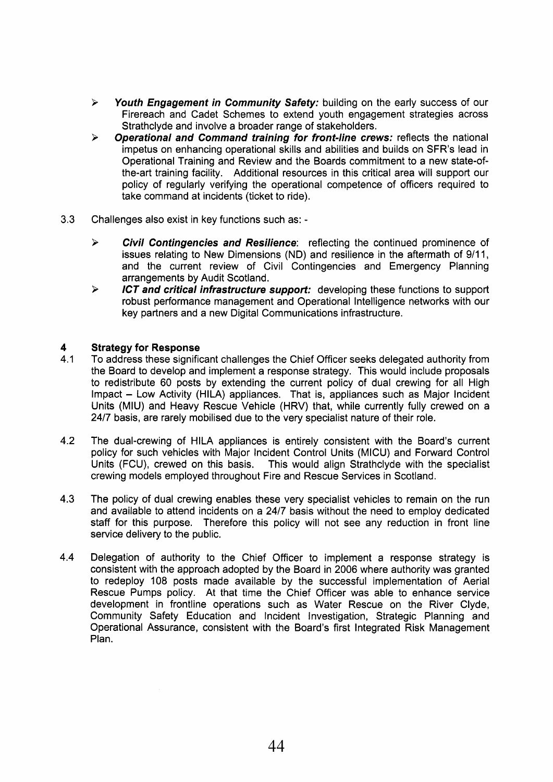- > *Youth Engagement in Community Safety:* building on the early success of our Firereach and Cadet Schemes to extend youth engagement strategies across Strathclyde and involve a broader range of stakeholders.
- *Operational and Command training for front-line crews:* reflects the national impetus on enhancing operational skills and abilities and builds on SFR's lead in Operational Training and Review and the Boards commitment to a new state-ofthe-art training facility. Additional resources in this critical area will support our policy of regularly verifying the operational competence of officers required to take command at incidents (ticket to ride).  $\blacktriangleright$
- **3.3** Challenges also exist in key functions such as:
	- > *Civil Contingencies and Resilience:* reflecting the continued prominence of issues relating to New Dimensions (ND) and resilience in the aftermath of 9/11, and the current review of Civil Contingencies and Emergency Planning arrangements by Audit Scotland.
	- *ICT and critical infrastructure support:* developing these functions to support robust performance management and Operational Intelligence networks with our key partners and a new Digital Communications infrastructure. **P**

# **4 <b>Strategy for Response**<br>**4.1** To address these signific

- 4.1 To address these significant challenges the Chief Officer seeks delegated authority from the Board to develop and implement a response strategy. This would include proposals to redistribute 60 posts by extending the current policy of dual crewing for all High Impact - Low Activity (HILA) appliances. That is, appliances such as Major Incident Units (MIU) and Heavy Rescue Vehicle (HRV) that, while currently fully crewed on a 2417 basis, are rarely mobilised due to the very specialist nature of their role.
- 4.2 The dual-crewing of HILA appliances is entirely consistent with the Board's current policy for such vehicles with Major Incident Control Units (MICU) and Forward Control Units (FCU), crewed on this basis. This would align Strathclyde with the specialist crewing models employed throughout Fire and Rescue Services in Scotland.
- 4.3 The policy of dual crewing enables these very specialist vehicles to remain on the run and available to attend incidents on a 2417 basis without the need to employ dedicated staff for this purpose. Therefore this policy will not see any reduction in front line service delivery to the public.
- 4.4 Delegation of authority to the Chief Officer to implement a response strategy is consistent with the approach adopted by the Board in 2006 where authority was granted to redeploy 108 posts made available by the successful implementation of Aerial Rescue Pumps policy. At that time the Chief Officer was able to enhance service development in frontline operations such as Water Rescue on the River Clyde, Community Safety Education and Incident Investigation, Strategic Planning and Operational Assurance, consistent with the Board's first Integrated Risk Management Plan.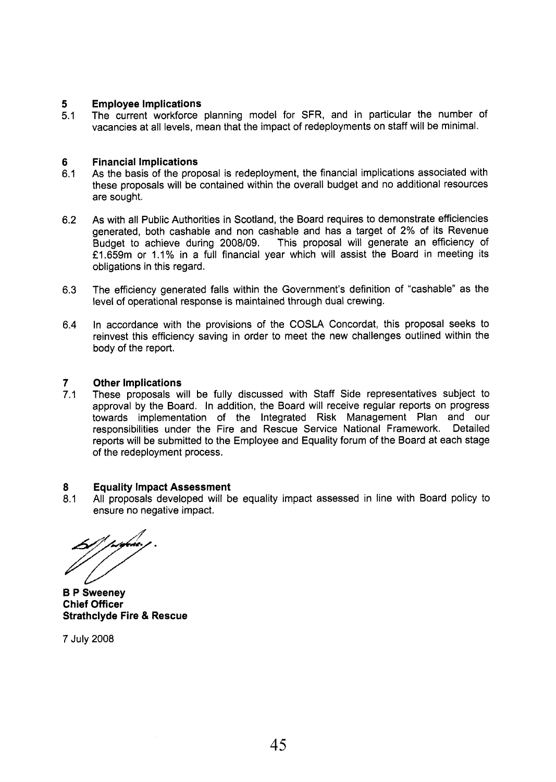#### **5 Employee Implications**

5.1 The current workforce planning model for SFR, and in particular the number of vacancies at all levels, mean that the impact of redeployments on staff will be minimal.

#### **6 Financial Implications**

- 6.1 As the basis of the proposal is redeployment, the financial implications associated with these proposals will be contained within the overall budget and no additional resources are sought.
- 6.2 As with all Public Authorities in Scotland, the Board requires to demonstrate efficiencies generated, both cashable and non cashable and has a target of 2% of its Revenue Budget to achieve during 2008/09. This proposal will generate an efficiency of f1.659m or 1.1% in a full financial year which will assist the Board in meeting its obligations in this regard.
- 6.3 The efficiency generated falls within the Government's definition of "cashable" as the level of operational response is maintained through dual crewing.
- 6.4 In accordance with the provisions of the COSLA Concordat, this proposal seeks to reinvest this efficiency saving in order to meet the new challenges outlined within the body of the report.

#### **7 Other Implications**

7.1 These proposals will be fully discussed with Staff Side representatives subject to approval by the Board. In addition, the Board will receive regular reports on progress towards implementation of the Integrated Risk Management Plan and our responsibilities under the Fire and Rescue Service National Framework. Detailed reports will be submitted to the Employee and Equality forum of the Board at each stage of the redeployment process.

#### **8 Equality Impact Assessment**

8.1 All proposals developed will be equality impact assessed in line with Board policy to ensure no negative impact.

**6 P Sweeney Chief Officer Strathclyde Fire** & **Rescue** 

7 July 2008